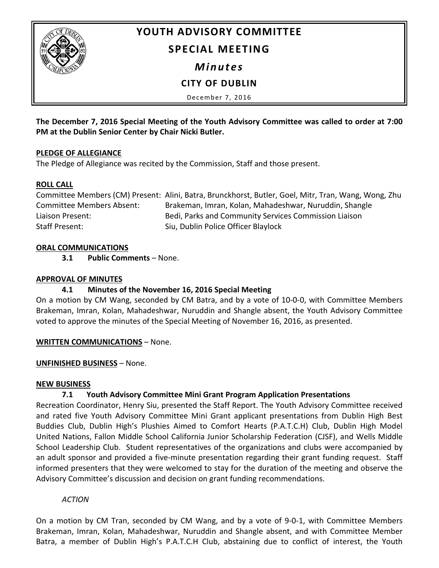

# **YOUTH ADVISORY COMMITTEE**

## **SPECIAL MEETING**

*Minutes*

# **CITY OF DUBLIN**

December 7, 2016

**The December 7, 2016 Special Meeting of the Youth Advisory Committee was called to order at 7:00 PM at the Dublin Senior Center by Chair Nicki Butler.**

#### **PLEDGE OF ALLEGIANCE**

The Pledge of Allegiance was recited by the Commission, Staff and those present.

#### **ROLL CALL**

Committee Members (CM) Present: Alini, Batra, Brunckhorst, Butler, Goel, Mitr, Tran, Wang, Wong, Zhu Committee Members Absent: Brakeman, Imran, Kolan, Mahadeshwar, Nuruddin, Shangle Liaison Present: Bedi, Parks and Community Services Commission Liaison Staff Present: Siu, Dublin Police Officer Blaylock

#### **ORAL COMMUNICATIONS**

**3.1 Public Comments** – None.

#### **APPROVAL OF MINUTES**

## **4.1 Minutes of the November 16, 2016 Special Meeting**

On a motion by CM Wang, seconded by CM Batra, and by a vote of 10-0-0, with Committee Members Brakeman, Imran, Kolan, Mahadeshwar, Nuruddin and Shangle absent, the Youth Advisory Committee voted to approve the minutes of the Special Meeting of November 16, 2016, as presented.

#### **WRITTEN COMMUNICATIONS** – None.

#### **UNFINISHED BUSINESS** – None.

#### **NEW BUSINESS**

# **7.1 Youth Advisory Committee Mini Grant Program Application Presentations**

Recreation Coordinator, Henry Siu, presented the Staff Report. The Youth Advisory Committee received and rated five Youth Advisory Committee Mini Grant applicant presentations from Dublin High Best Buddies Club, Dublin High's Plushies Aimed to Comfort Hearts (P.A.T.C.H) Club, Dublin High Model United Nations, Fallon Middle School California Junior Scholarship Federation (CJSF), and Wells Middle School Leadership Club. Student representatives of the organizations and clubs were accompanied by an adult sponsor and provided a five-minute presentation regarding their grant funding request. Staff informed presenters that they were welcomed to stay for the duration of the meeting and observe the Advisory Committee's discussion and decision on grant funding recommendations.

## *ACTION*

On a motion by CM Tran, seconded by CM Wang, and by a vote of 9-0-1, with Committee Members Brakeman, Imran, Kolan, Mahadeshwar, Nuruddin and Shangle absent, and with Committee Member Batra, a member of Dublin High's P.A.T.C.H Club, abstaining due to conflict of interest, the Youth